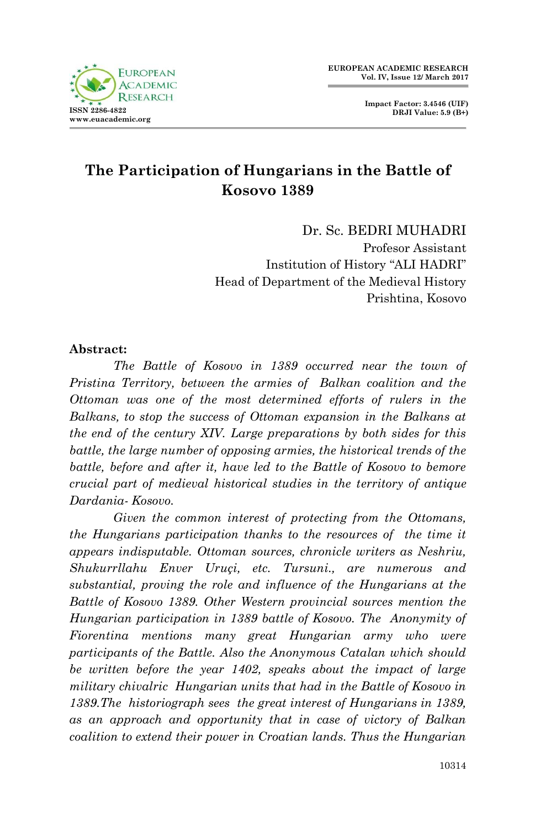## **The Participation of Hungarians in the Battle of Kosovo 1389**

Dr. Sc. BEDRI MUHADRI Profesor Assistant Institution of History "ALI HADRI" Head of Department of the Medieval History Prishtina, Kosovo

## **Abstract:**

*The Battle of Kosovo in 1389 occurred near the town of Pristina Territory, between the armies of Balkan coalition and the Ottoman was one of the most determined efforts of rulers in the Balkans, to stop the success of Ottoman expansion in the Balkans at the end of the century XIV. Large preparations by both sides for this battle, the large number of opposing armies, the historical trends of the battle, before and after it, have led to the Battle of Kosovo to bemore crucial part of medieval historical studies in the territory of antique Dardania- Kosovo.*

*Given the common interest of protecting from the Ottomans, the Hungarians participation thanks to the resources of the time it appears indisputable. Ottoman sources, chronicle writers as Neshriu, Shukurrllahu Enver Uruçi, etc. Tursuni., are numerous and substantial, proving the role and influence of the Hungarians at the Battle of Kosovo 1389. Other Western provincial sources mention the Hungarian participation in 1389 battle of Kosovo. The Anonymity of Fiorentina mentions many great Hungarian army who were participants of the Battle. Also the Anonymous Catalan which should be written before the year 1402, speaks about the impact of large military chivalric Hungarian units that had in the Battle of Kosovo in 1389.The historiograph sees the great interest of Hungarians in 1389, as an approach and opportunity that in case of victory of Balkan coalition to extend their power in Croatian lands. Thus the Hungarian*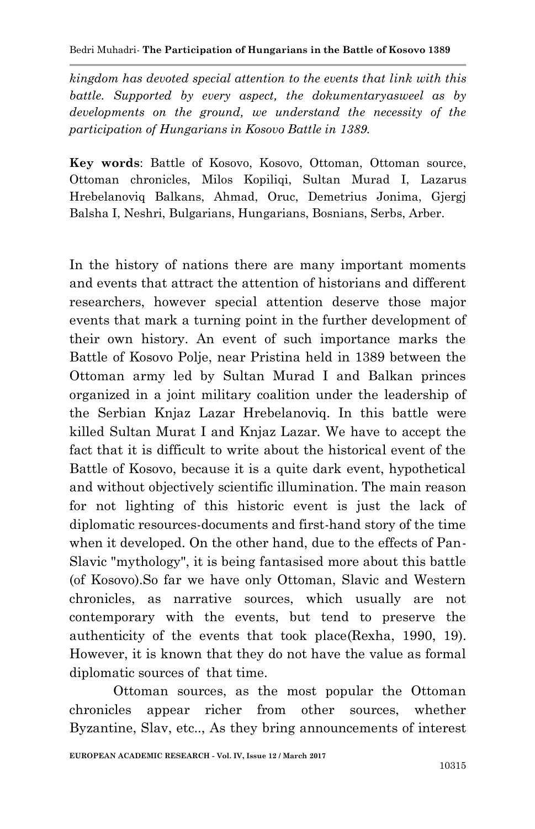*kingdom has devoted special attention to the events that link with this battle. Supported by every aspect, the dokumentaryasweel as by developments on the ground, we understand the necessity of the participation of Hungarians in Kosovo Battle in 1389.*

**Key words**: Battle of Kosovo, Kosovo, Ottoman, Ottoman source, Ottoman chronicles, Milos Kopiliqi, Sultan Murad I, Lazarus Hrebelanoviq Balkans, Ahmad, Oruc, Demetrius Jonima, Gjergj Balsha I, Neshri, Bulgarians, Hungarians, Bosnians, Serbs, Arber.

In the history of nations there are many important moments and events that attract the attention of historians and different researchers, however special attention deserve those major events that mark a turning point in the further development of their own history. An event of such importance marks the Battle of Kosovo Polje, near Pristina held in 1389 between the Ottoman army led by Sultan Murad I and Balkan princes organized in a joint military coalition under the leadership of the Serbian Knjaz Lazar Hrebelanoviq. In this battle were killed Sultan Murat I and Knjaz Lazar. We have to accept the fact that it is difficult to write about the historical event of the Battle of Kosovo, because it is a quite dark event, hypothetical and without objectively scientific illumination. The main reason for not lighting of this historic event is just the lack of diplomatic resources-documents and first-hand story of the time when it developed. On the other hand, due to the effects of Pan-Slavic "mythology", it is being fantasised more about this battle (of Kosovo).So far we have only Ottoman, Slavic and Western chronicles, as narrative sources, which usually are not contemporary with the events, but tend to preserve the authenticity of the events that took place(Rexha, 1990, 19). However, it is known that they do not have the value as formal diplomatic sources of that time.

Ottoman sources, as the most popular the Ottoman chronicles appear richer from other sources, whether Byzantine, Slav, etc.., As they bring announcements of interest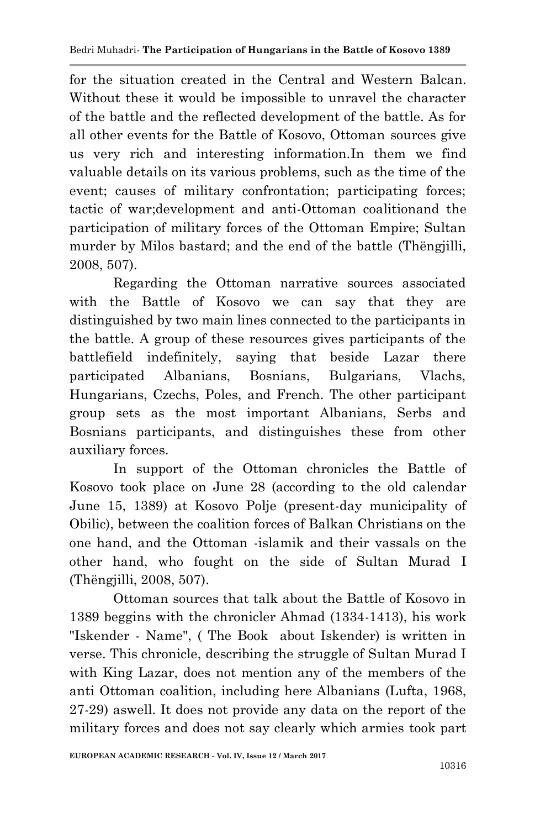for the situation created in the Central and Western Balcan. Without these it would be impossible to unravel the character of the battle and the reflected development of the battle. As for all other events for the Battle of Kosovo, Ottoman sources give us very rich and interesting information.In them we find valuable details on its various problems, such as the time of the event; causes of military confrontation; participating forces; tactic of war;development and anti-Ottoman coalitionand the participation of military forces of the Ottoman Empire; Sultan murder by Milos bastard; and the end of the battle (Thëngjilli, 2008, 507).

Regarding the Ottoman narrative sources associated with the Battle of Kosovo we can say that they are distinguished by two main lines connected to the participants in the battle. A group of these resources gives participants of the battlefield indefinitely, saying that beside Lazar there participated Albanians, Bosnians, Bulgarians, Vlachs, Hungarians, Czechs, Poles, and French. The other participant group sets as the most important Albanians, Serbs and Bosnians participants, and distinguishes these from other auxiliary forces.

In support of the Ottoman chronicles the Battle of Kosovo took place on June 28 (according to the old calendar June 15, 1389) at Kosovo Polje (present-day municipality of Obilic), between the coalition forces of Balkan Christians on the one hand, and the Ottoman -islamik and their vassals on the other hand, who fought on the side of Sultan Murad I (Thëngjilli, 2008, 507).

Ottoman sources that talk about the Battle of Kosovo in 1389 beggins with the chronicler Ahmad (1334-1413), his work "Iskender - Name", ( The Book about Iskender) is written in verse. This chronicle, describing the struggle of Sultan Murad I with King Lazar, does not mention any of the members of the anti Ottoman coalition, including here Albanians (Lufta, 1968, 27-29) aswell. It does not provide any data on the report of the military forces and does not say clearly which armies took part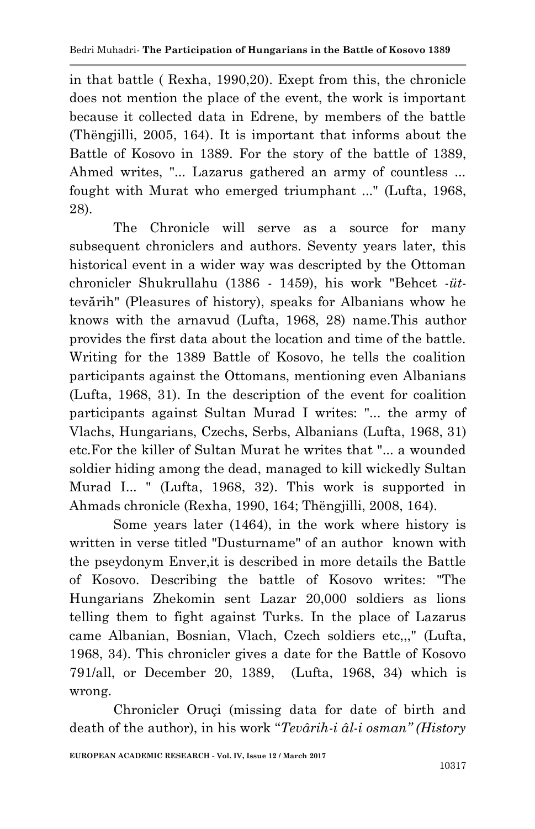in that battle ( Rexha, 1990,20). Exept from this, the chronicle does not mention the place of the event, the work is important because it collected data in Edrene, by members of the battle (Thëngjilli, 2005, 164). It is important that informs about the Battle of Kosovo in 1389. For the story of the battle of 1389, Ahmed writes, "... Lazarus gathered an army of countless ... fought with Murat who emerged triumphant ..." (Lufta, 1968, 28).

The Chronicle will serve as a source for many subsequent chroniclers and authors. Seventy years later, this historical event in a wider way was descripted by the Ottoman chronicler Shukrullahu (1386 - 1459), his work "Behcet -*üt*tevărih" (Pleasures of history), speaks for Albanians whow he knows with the arnavud (Lufta, 1968, 28) name.This author provides the first data about the location and time of the battle. Writing for the 1389 Battle of Kosovo, he tells the coalition participants against the Ottomans, mentioning even Albanians (Lufta, 1968, 31). In the description of the event for coalition participants against Sultan Murad I writes: "... the army of Vlachs, Hungarians, Czechs, Serbs, Albanians (Lufta, 1968, 31) etc.For the killer of Sultan Murat he writes that "... a wounded soldier hiding among the dead, managed to kill wickedly Sultan Murad I... " (Lufta, 1968, 32). This work is supported in Ahmads chronicle (Rexha, 1990, 164; Thëngjilli, 2008, 164).

Some years later (1464), in the work where history is written in verse titled "Dusturname" of an author known with the pseydonym Enver,it is described in more details the Battle of Kosovo. Describing the battle of Kosovo writes: "The Hungarians Zhekomin sent Lazar 20,000 soldiers as lions telling them to fight against Turks. In the place of Lazarus came Albanian, Bosnian, Vlach, Czech soldiers etc,,," (Lufta, 1968, 34). This chronicler gives a date for the Battle of Kosovo 791/all, or December 20, 1389, (Lufta, 1968, 34) which is wrong.

Chronicler Oruçi (missing data for date of birth and death of the author), in his work "*Tevârih-i âl-i osman" (History*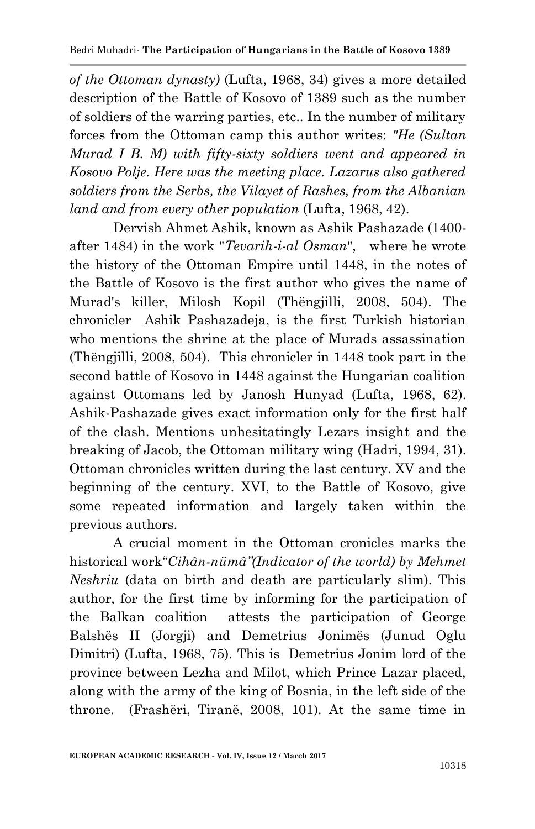*of the Ottoman dynasty)* (Lufta, 1968, 34) gives a more detailed description of the Battle of Kosovo of 1389 such as the number of soldiers of the warring parties, etc.. In the number of military forces from the Ottoman camp this author writes: *"He (Sultan Murad I B. M) with fifty-sixty soldiers went and appeared in Kosovo Polje. Here was the meeting place. Lazarus also gathered soldiers from the Serbs, the Vilayet of Rashes, from the Albanian land and from every other population* (Lufta, 1968, 42).

Dervish Ahmet Ashik, known as Ashik Pashazade (1400 after 1484) in the work "*Tevarih-i-al Osman*", where he wrote the history of the Ottoman Empire until 1448, in the notes of the Battle of Kosovo is the first author who gives the name of Murad's killer, Milosh Kopil (Thëngjilli, 2008, 504). The chronicler Ashik Pashazadeja, is the first Turkish historian who mentions the shrine at the place of Murads assassination (Thëngjilli, 2008, 504). This chronicler in 1448 took part in the second battle of Kosovo in 1448 against the Hungarian coalition against Ottomans led by Janosh Hunyad (Lufta, 1968, 62). Ashik-Pashazade gives exact information only for the first half of the clash. Mentions unhesitatingly Lezars insight and the breaking of Jacob, the Ottoman military wing (Hadri, 1994, 31). Ottoman chronicles written during the last century. XV and the beginning of the century. XVI, to the Battle of Kosovo, give some repeated information and largely taken within the previous authors.

A crucial moment in the Ottoman cronicles marks the historical work"*Cihân-nümâ"(Indicator of the world) by Mehmet Neshriu* (data on birth and death are particularly slim). This author, for the first time by informing for the participation of the Balkan coalition attests the participation of George Balshës II (Jorgji) and Demetrius Jonimës (Junud Oglu Dimitri) (Lufta, 1968, 75). This is Demetrius Jonim lord of the province between Lezha and Milot, which Prince Lazar placed, along with the army of the king of Bosnia, in the left side of the throne. (Frashëri, Tiranë, 2008, 101). At the same time in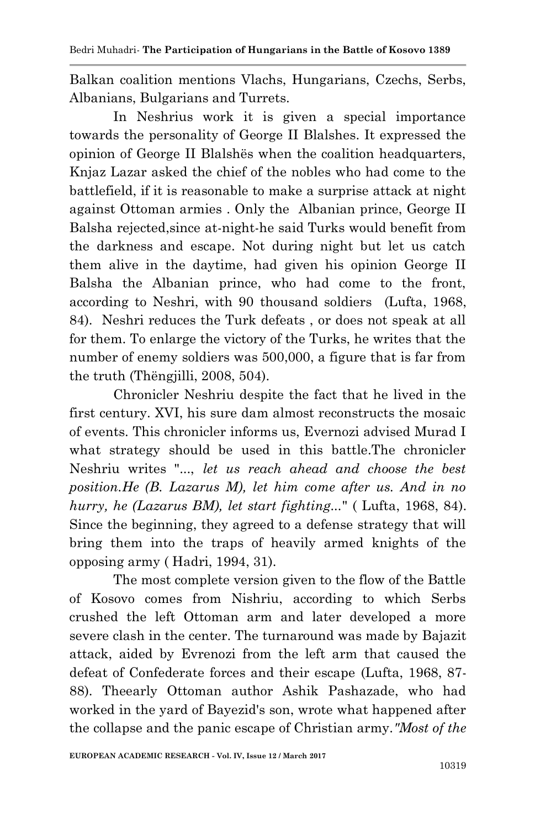Balkan coalition mentions Vlachs, Hungarians, Czechs, Serbs, Albanians, Bulgarians and Turrets.

In Neshrius work it is given a special importance towards the personality of George II Blalshes. It expressed the opinion of George II Blalshës when the coalition headquarters, Knjaz Lazar asked the chief of the nobles who had come to the battlefield, if it is reasonable to make a surprise attack at night against Ottoman armies . Only the Albanian prince, George II Balsha rejected,since at-night-he said Turks would benefit from the darkness and escape. Not during night but let us catch them alive in the daytime, had given his opinion George II Balsha the Albanian prince, who had come to the front, according to Neshri, with 90 thousand soldiers (Lufta, 1968, 84). Neshri reduces the Turk defeats , or does not speak at all for them. To enlarge the victory of the Turks, he writes that the number of enemy soldiers was 500,000, a figure that is far from the truth (Thëngjilli, 2008, 504).

Chronicler Neshriu despite the fact that he lived in the first century. XVI, his sure dam almost reconstructs the mosaic of events. This chronicler informs us, Evernozi advised Murad I what strategy should be used in this battle.The chronicler Neshriu writes "..., *let us reach ahead and choose the best position.He (B. Lazarus M), let him come after us. And in no hurry, he (Lazarus BM), let start fighting...*" ( Lufta, 1968, 84). Since the beginning, they agreed to a defense strategy that will bring them into the traps of heavily armed knights of the opposing army ( Hadri, 1994, 31).

The most complete version given to the flow of the Battle of Kosovo comes from Nishriu, according to which Serbs crushed the left Ottoman arm and later developed a more severe clash in the center. The turnaround was made by Bajazit attack, aided by Evrenozi from the left arm that caused the defeat of Confederate forces and their escape (Lufta, 1968, 87- 88). Theearly Ottoman author Ashik Pashazade, who had worked in the yard of Bayezid's son, wrote what happened after the collapse and the panic escape of Christian army.*"Most of the*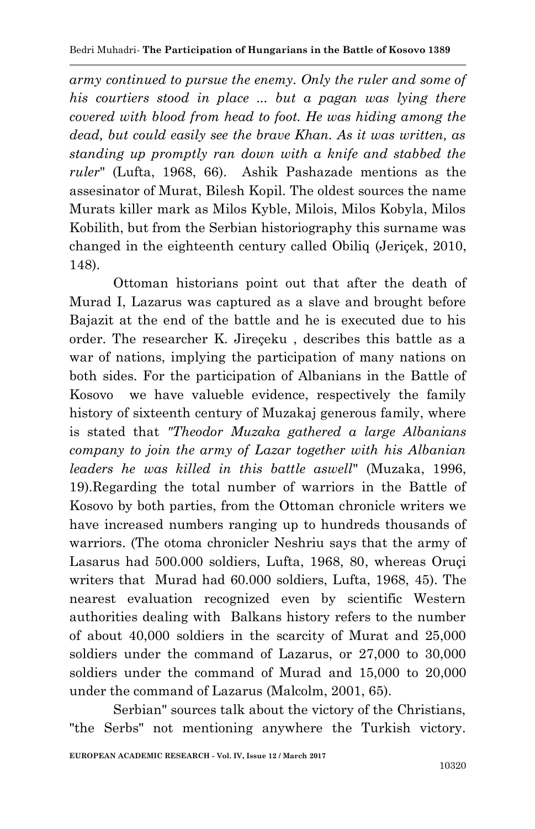*army continued to pursue the enemy. Only the ruler and some of his courtiers stood in place ... but a pagan was lying there covered with blood from head to foot. He was hiding among the dead, but could easily see the brave Khan. As it was written, as standing up promptly ran down with a knife and stabbed the ruler*" (Lufta, 1968, 66). Ashik Pashazade mentions as the assesinator of Murat, Bilesh Kopil. The oldest sources the name Murats killer mark as Milos Kyble, Milois, Milos Kobyla, Milos Kobilith, but from the Serbian historiography this surname was changed in the eighteenth century called Obiliq (Jeriçek, 2010, 148).

Ottoman historians point out that after the death of Murad I, Lazarus was captured as a slave and brought before Bajazit at the end of the battle and he is executed due to his order. The researcher K. Jireçeku , describes this battle as a war of nations, implying the participation of many nations on both sides. For the participation of Albanians in the Battle of Kosovo we have valueble evidence, respectively the family history of sixteenth century of Muzakaj generous family, where is stated that *"Theodor Muzaka gathered a large Albanians company to join the army of Lazar together with his Albanian leaders he was killed in this battle aswell*" (Muzaka, 1996, 19).Regarding the total number of warriors in the Battle of Kosovo by both parties, from the Ottoman chronicle writers we have increased numbers ranging up to hundreds thousands of warriors. (The otoma chronicler Neshriu says that the army of Lasarus had 500.000 soldiers, Lufta, 1968, 80, whereas Oruçi writers that Murad had 60.000 soldiers, Lufta, 1968, 45). The nearest evaluation recognized even by scientific Western authorities dealing with Balkans history refers to the number of about 40,000 soldiers in the scarcity of Murat and 25,000 soldiers under the command of Lazarus, or 27,000 to 30,000 soldiers under the command of Murad and 15,000 to 20,000 under the command of Lazarus (Malcolm, 2001, 65).

Serbian" sources talk about the victory of the Christians, "the Serbs" not mentioning anywhere the Turkish victory.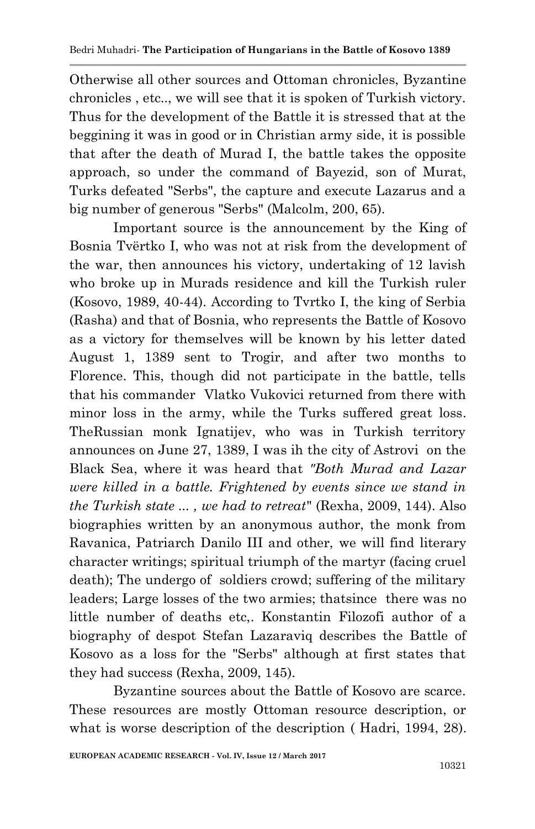Otherwise all other sources and Ottoman chronicles, Byzantine chronicles , etc.., we will see that it is spoken of Turkish victory. Thus for the development of the Battle it is stressed that at the beggining it was in good or in Christian army side, it is possible that after the death of Murad I, the battle takes the opposite approach, so under the command of Bayezid, son of Murat, Turks defeated "Serbs", the capture and execute Lazarus and a big number of generous "Serbs" (Malcolm, 200, 65).

Important source is the announcement by the King of Bosnia Tvërtko I, who was not at risk from the development of the war, then announces his victory, undertaking of 12 lavish who broke up in Murads residence and kill the Turkish ruler (Kosovo, 1989, 40-44). According to Tvrtko I, the king of Serbia (Rasha) and that of Bosnia, who represents the Battle of Kosovo as a victory for themselves will be known by his letter dated August 1, 1389 sent to Trogir, and after two months to Florence. This, though did not participate in the battle, tells that his commander Vlatko Vukovici returned from there with minor loss in the army, while the Turks suffered great loss. TheRussian monk Ignatijev, who was in Turkish territory announces on June 27, 1389, I was ih the city of Astrovi on the Black Sea, where it was heard that *"Both Murad and Lazar were killed in a battle. Frightened by events since we stand in the Turkish state ... , we had to retreat*" (Rexha, 2009, 144). Also biographies written by an anonymous author, the monk from Ravanica, Patriarch Danilo III and other, we will find literary character writings; spiritual triumph of the martyr (facing cruel death); The undergo of soldiers crowd; suffering of the military leaders; Large losses of the two armies; thatsince there was no little number of deaths etc,. Konstantin Filozofi author of a biography of despot Stefan Lazaraviq describes the Battle of Kosovo as a loss for the "Serbs" although at first states that they had success (Rexha, 2009, 145).

Byzantine sources about the Battle of Kosovo are scarce. These resources are mostly Ottoman resource description, or what is worse description of the description ( Hadri, 1994, 28).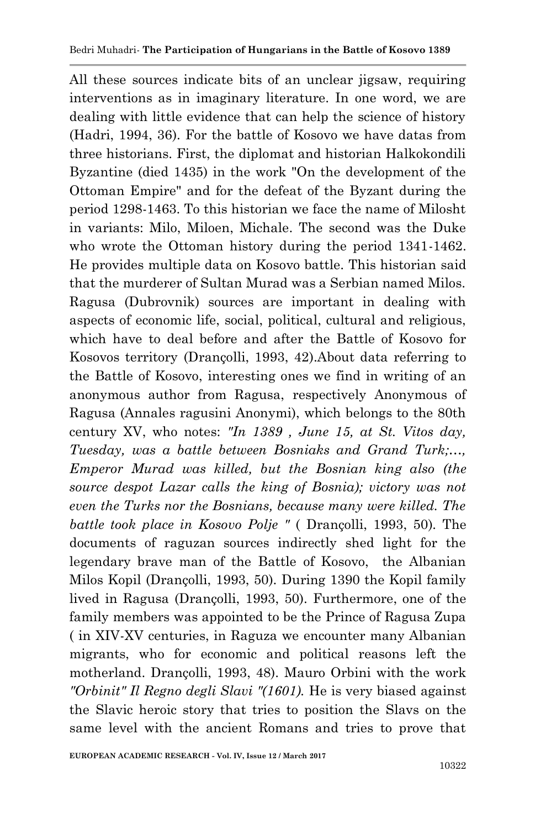All these sources indicate bits of an unclear jigsaw, requiring interventions as in imaginary literature. In one word, we are dealing with little evidence that can help the science of history (Hadri, 1994, 36). For the battle of Kosovo we have datas from three historians. First, the diplomat and historian Halkokondili Byzantine (died 1435) in the work "On the development of the Ottoman Empire" and for the defeat of the Byzant during the period 1298-1463. To this historian we face the name of Milosht in variants: Milo, Miloen, Michale. The second was the Duke who wrote the Ottoman history during the period 1341-1462. He provides multiple data on Kosovo battle. This historian said that the murderer of Sultan Murad was a Serbian named Milos. Ragusa (Dubrovnik) sources are important in dealing with aspects of economic life, social, political, cultural and religious, which have to deal before and after the Battle of Kosovo for Kosovos territory (Drançolli, 1993, 42).About data referring to the Battle of Kosovo, interesting ones we find in writing of an anonymous author from Ragusa, respectively Anonymous of Ragusa (Annales ragusini Anonymi), which belongs to the 80th century XV, who notes: *"In 1389 , June 15, at St. Vitos day, Tuesday, was a battle between Bosniaks and Grand Turk;…, Emperor Murad was killed, but the Bosnian king also (the source despot Lazar calls the king of Bosnia); victory was not even the Turks nor the Bosnians, because many were killed. The battle took place in Kosovo Polje "* ( Drançolli, 1993, 50)*.* The documents of raguzan sources indirectly shed light for the legendary brave man of the Battle of Kosovo, the Albanian Milos Kopil (Drançolli, 1993, 50). During 1390 the Kopil family lived in Ragusa (Drançolli, 1993, 50). Furthermore, one of the family members was appointed to be the Prince of Ragusa Zupa ( in XIV-XV centuries, in Raguza we encounter many Albanian migrants, who for economic and political reasons left the motherland. Drançolli, 1993, 48). Mauro Orbini with the work *"Orbinit" Il Regno degli Slavi "(1601).* He is very biased against the Slavic heroic story that tries to position the Slavs on the same level with the ancient Romans and tries to prove that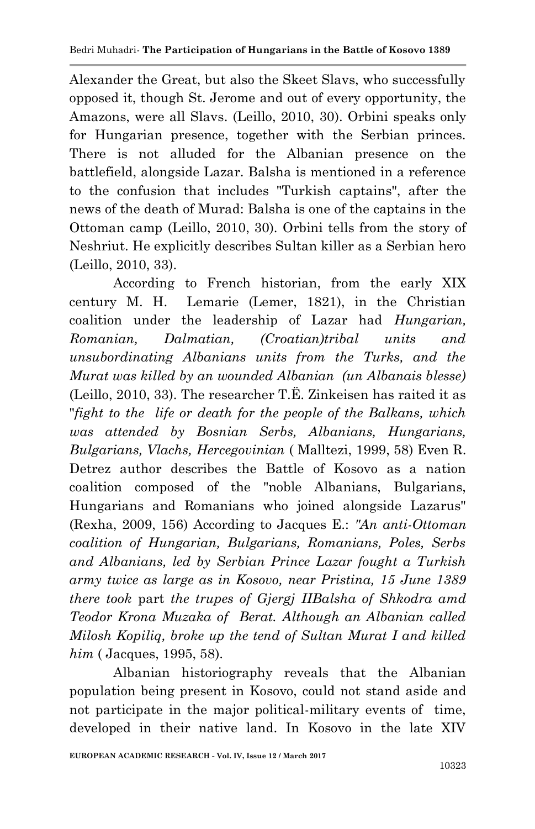Alexander the Great, but also the Skeet Slavs, who successfully opposed it, though St. Jerome and out of every opportunity, the Amazons, were all Slavs. (Leillo, 2010, 30). Orbini speaks only for Hungarian presence, together with the Serbian princes. There is not alluded for the Albanian presence on the battlefield, alongside Lazar. Balsha is mentioned in a reference to the confusion that includes "Turkish captains", after the news of the death of Murad: Balsha is one of the captains in the Ottoman camp (Leillo, 2010, 30). Orbini tells from the story of Neshriut. He explicitly describes Sultan killer as a Serbian hero (Leillo, 2010, 33).

According to French historian, from the early XIX century M. H. Lemarie (Lemer, 1821), in the Christian coalition under the leadership of Lazar had *Hungarian, Romanian, Dalmatian, (Croatian)tribal units and unsubordinating Albanians units from the Turks, and the Murat was killed by an wounded Albanian (un Albanais blesse)* (Leillo, 2010, 33). The researcher T.Ë. Zinkeisen has raited it as "*fight to the life or death for the people of the Balkans, which was attended by Bosnian Serbs, Albanians, Hungarians, Bulgarians, Vlachs, Hercegovinian* ( Malltezi, 1999, 58) Even R. Detrez author describes the Battle of Kosovo as a nation coalition composed of the "noble Albanians, Bulgarians, Hungarians and Romanians who joined alongside Lazarus" (Rexha, 2009, 156) According to Jacques E.: *"An anti-Ottoman coalition of Hungarian, Bulgarians, Romanians, Poles, Serbs and Albanians, led by Serbian Prince Lazar fought a Turkish army twice as large as in Kosovo, near Pristina, 15 June 1389 there took* part *the trupes of Gjergj IIBalsha of Shkodra amd Teodor Krona Muzaka of Berat. Although an Albanian called Milosh Kopiliq, broke up the tend of Sultan Murat I and killed him* ( Jacques, 1995, 58).

Albanian historiography reveals that the Albanian population being present in Kosovo, could not stand aside and not participate in the major political-military events of time, developed in their native land. In Kosovo in the late XIV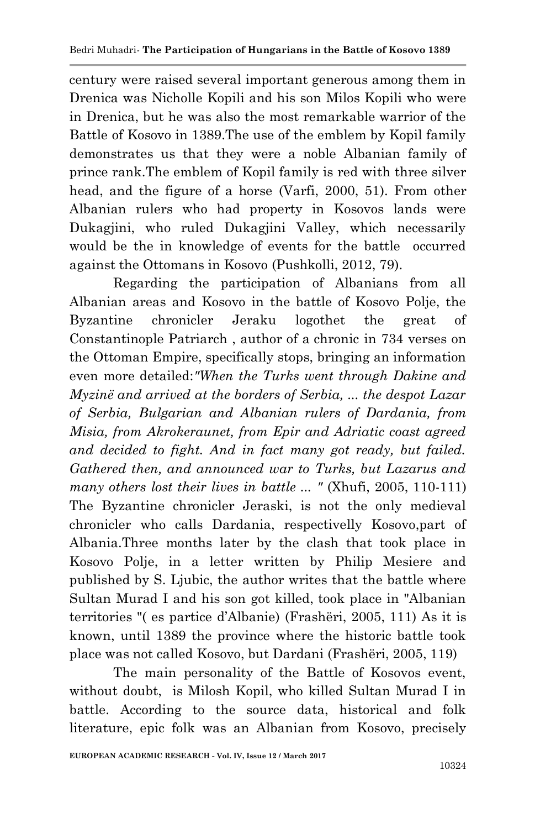century were raised several important generous among them in Drenica was Nicholle Kopili and his son Milos Kopili who were in Drenica, but he was also the most remarkable warrior of the Battle of Kosovo in 1389.The use of the emblem by Kopil family demonstrates us that they were a noble Albanian family of prince rank.The emblem of Kopil family is red with three silver head, and the figure of a horse (Varfi, 2000, 51). From other Albanian rulers who had property in Kosovos lands were Dukagjini, who ruled Dukagjini Valley, which necessarily would be the in knowledge of events for the battle occurred against the Ottomans in Kosovo (Pushkolli, 2012, 79).

Regarding the participation of Albanians from all Albanian areas and Kosovo in the battle of Kosovo Polje, the Byzantine chronicler Jeraku logothet the great of Constantinople Patriarch , author of a chronic in 734 verses on the Ottoman Empire, specifically stops, bringing an information even more detailed:*"When the Turks went through Dakine and Myzinë and arrived at the borders of Serbia, ... the despot Lazar of Serbia, Bulgarian and Albanian rulers of Dardania, from Misia, from Akrokeraunet, from Epir and Adriatic coast agreed and decided to fight. And in fact many got ready, but failed. Gathered then, and announced war to Turks, but Lazarus and many others lost their lives in battle ... "* (Xhufi, 2005, 110-111) The Byzantine chronicler Jeraski, is not the only medieval chronicler who calls Dardania, respectivelly Kosovo,part of Albania.Three months later by the clash that took place in Kosovo Polje, in a letter written by Philip Mesiere and published by S. Ljubic, the author writes that the battle where Sultan Murad I and his son got killed, took place in "Albanian territories "( es partice d'Albanie) (Frashëri, 2005, 111) As it is known, until 1389 the province where the historic battle took place was not called Kosovo, but Dardani (Frashëri, 2005, 119)

The main personality of the Battle of Kosovos event, without doubt, is Milosh Kopil, who killed Sultan Murad I in battle. According to the source data, historical and folk literature, epic folk was an Albanian from Kosovo, precisely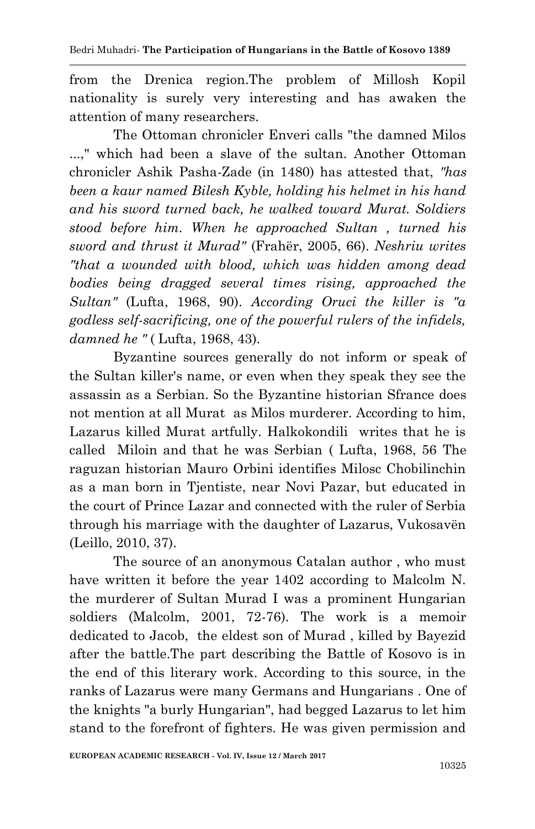from the Drenica region.The problem of Millosh Kopil nationality is surely very interesting and has awaken the attention of many researchers.

The Ottoman chronicler Enveri calls "the damned Milos ...," which had been a slave of the sultan. Another Ottoman chronicler Ashik Pasha-Zade (in 1480) has attested that, *"has been a kaur named Bilesh Kyble, holding his helmet in his hand and his sword turned back, he walked toward Murat. Soldiers stood before him. When he approached Sultan , turned his sword and thrust it Murad"* (Frahër, 2005, 66). *Neshriu writes "that a wounded with blood, which was hidden among dead bodies being dragged several times rising, approached the Sultan"* (Lufta, 1968, 90). *According Oruci the killer is "a godless self-sacrificing, one of the powerful rulers of the infidels, damned he "* ( Lufta, 1968, 43).

Byzantine sources generally do not inform or speak of the Sultan killer's name, or even when they speak they see the assassin as a Serbian. So the Byzantine historian Sfrance does not mention at all Murat as Milos murderer. According to him, Lazarus killed Murat artfully. Halkokondili writes that he is called Miloin and that he was Serbian ( Lufta, 1968, 56 The raguzan historian Mauro Orbini identifies Milosc Chobilinchin as a man born in Tjentiste, near Novi Pazar, but educated in the court of Prince Lazar and connected with the ruler of Serbia through his marriage with the daughter of Lazarus, Vukosavën (Leillo, 2010, 37).

The source of an anonymous Catalan author , who must have written it before the year 1402 according to Malcolm N. the murderer of Sultan Murad I was a prominent Hungarian soldiers (Malcolm, 2001, 72-76). The work is a memoir dedicated to Jacob, the eldest son of Murad , killed by Bayezid after the battle.The part describing the Battle of Kosovo is in the end of this literary work. According to this source, in the ranks of Lazarus were many Germans and Hungarians . One of the knights "a burly Hungarian", had begged Lazarus to let him stand to the forefront of fighters. He was given permission and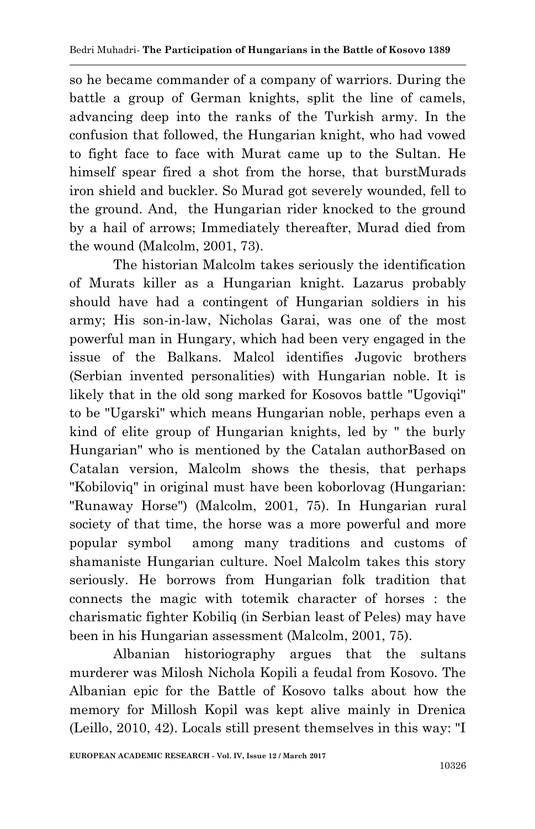so he became commander of a company of warriors. During the battle a group of German knights, split the line of camels, advancing deep into the ranks of the Turkish army. In the confusion that followed, the Hungarian knight, who had vowed to fight face to face with Murat came up to the Sultan. He himself spear fired a shot from the horse, that burstMurads iron shield and buckler. So Murad got severely wounded, fell to the ground. And, the Hungarian rider knocked to the ground by a hail of arrows; Immediately thereafter, Murad died from the wound (Malcolm, 2001, 73).

The historian Malcolm takes seriously the identification of Murats killer as a Hungarian knight. Lazarus probably should have had a contingent of Hungarian soldiers in his army; His son-in-law, Nicholas Garai, was one of the most powerful man in Hungary, which had been very engaged in the issue of the Balkans. Malcol identifies Jugovic brothers (Serbian invented personalities) with Hungarian noble. It is likely that in the old song marked for Kosovos battle "Ugoviqi" to be "Ugarski" which means Hungarian noble, perhaps even a kind of elite group of Hungarian knights, led by " the burly Hungarian" who is mentioned by the Catalan authorBased on Catalan version, Malcolm shows the thesis, that perhaps "Kobiloviq" in original must have been koborlovag (Hungarian: "Runaway Horse") (Malcolm, 2001, 75). In Hungarian rural society of that time, the horse was a more powerful and more popular symbol among many traditions and customs of shamaniste Hungarian culture. Noel Malcolm takes this story seriously. He borrows from Hungarian folk tradition that connects the magic with totemik character of horses : the charismatic fighter Kobiliq (in Serbian least of Peles) may have been in his Hungarian assessment (Malcolm, 2001, 75).

Albanian historiography argues that the sultans murderer was Milosh Nichola Kopili a feudal from Kosovo. The Albanian epic for the Battle of Kosovo talks about how the memory for Millosh Kopil was kept alive mainly in Drenica (Leillo, 2010, 42). Locals still present themselves in this way: "I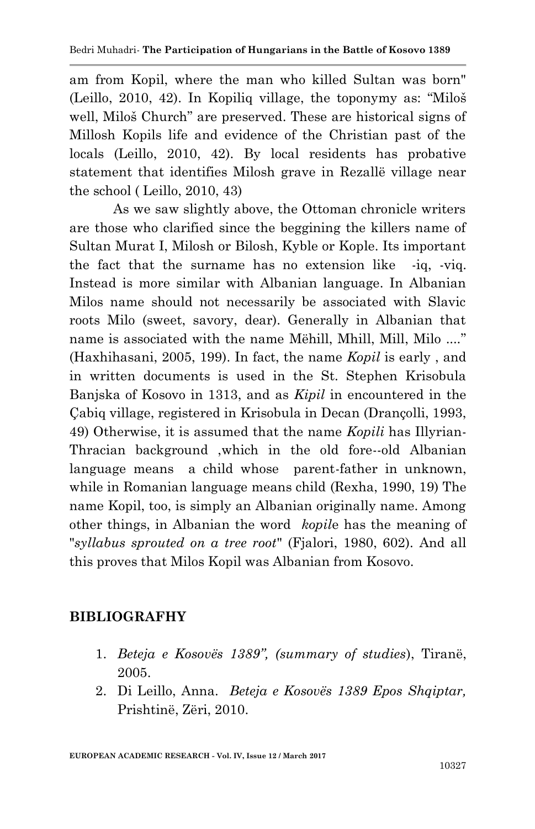am from Kopil, where the man who killed Sultan was born" (Leillo, 2010, 42). In Kopiliq village, the toponymy as: "Miloš well, Miloš Church" are preserved. These are historical signs of Millosh Kopils life and evidence of the Christian past of the locals (Leillo, 2010, 42). By local residents has probative statement that identifies Milosh grave in Rezallë village near the school ( Leillo, 2010, 43)

As we saw slightly above, the Ottoman chronicle writers are those who clarified since the beggining the killers name of Sultan Murat I, Milosh or Bilosh, Kyble or Kople. Its important the fact that the surname has no extension like -iq, -viq. Instead is more similar with Albanian language. In Albanian Milos name should not necessarily be associated with Slavic roots Milo (sweet, savory, dear). Generally in Albanian that name is associated with the name Mëhill, Mhill, Mill, Milo ...." (Haxhihasani, 2005, 199). In fact, the name *Kopil* is early , and in written documents is used in the St. Stephen Krisobula Banjska of Kosovo in 1313, and as *Kipil* in encountered in the Çabiq village, registered in Krisobula in Decan (Drançolli, 1993, 49) Otherwise, it is assumed that the name *Kopili* has Illyrian-Thracian background ,which in the old fore--old Albanian language means a child whose parent-father in unknown, while in Romanian language means child (Rexha, 1990, 19) The name Kopil, too, is simply an Albanian originally name. Among other things, in Albanian the word *kopil*e has the meaning of "*syllabus sprouted on a tree root*" (Fjalori, 1980, 602). And all this proves that Milos Kopil was Albanian from Kosovo.

## **BIBLIOGRAFHY**

- 1. *Beteja e Kosovës 1389", (summary of studies*), Tiranë, 2005.
- 2. Di Leillo, Anna. *Beteja e Kosovës 1389 Epos Shqiptar,* Prishtinë, Zëri, 2010.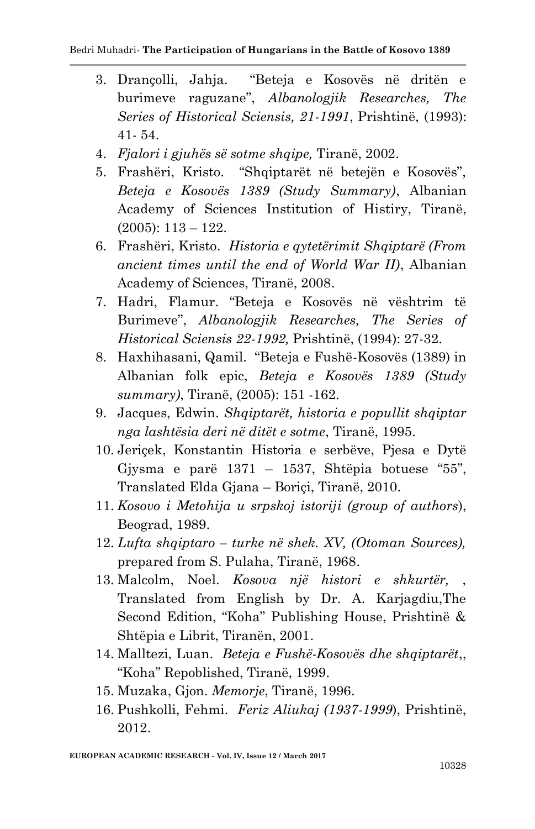- 3. Drançolli, Jahja. "Beteja e Kosovës në dritën e burimeve raguzane", *Albanologjik Researches, The Series of Historical Sciensis, 21-1991*, Prishtinë, (1993): 41- 54.
- 4. *Fjalori i gjuhës së sotme shqipe,* Tiranë, 2002.
- 5. Frashëri, Kristo. "Shqiptarët në betejën e Kosovës", *Beteja e Kosovës 1389 (Study Summary)*, Albanian Academy of Sciences Institution of Histiry, Tiranë,  $(2005): 113 - 122.$
- 6. Frashëri, Kristo. *Historia e qytetërimit Shqiptarë (From ancient times until the end of World War II)*, Albanian Academy of Sciences, Tiranë, 2008.
- 7. Hadri, Flamur. "Beteja e Kosovës në vështrim të Burimeve", *Albanologjik Researches, The Series of Historical Sciensis 22-1992,* Prishtinë, (1994): 27-32.
- 8. Haxhihasani, Qamil. "Beteja e Fushë-Kosovës (1389) in Albanian folk epic, *Beteja e Kosovës 1389 (Study summary)*, Tiranë, (2005): 151 -162.
- 9. Jacques, Edwin. *Shqiptarët, historia e popullit shqiptar nga lashtësia deri në ditët e sotme*, Tiranë, 1995.
- 10. Jeriçek, Konstantin Historia e serbëve, Pjesa e Dytë Gjysma e parë  $1371 - 1537$ , Shtëpia botuese "55", Translated Elda Gjana – Boriçi, Tiranë, 2010.
- 11. *Kosovo i Metohija u srpskoj istoriji (group of authors*), Beograd, 1989.
- 12. *Lufta shqiptaro – turke në shek. XV, (Otoman Sources),*  prepared from S. Pulaha, Tiranë, 1968.
- 13. Malcolm, Noel. *Kosova një histori e shkurtër,* , Translated from English by Dr. A. Karjagdiu,The Second Edition, "Koha" Publishing House, Prishtinë & Shtëpia e Librit, Tiranën, 2001.
- 14. Malltezi, Luan. *Beteja e Fushë-Kosovës dhe shqiptarët*,, "Koha" Repoblished, Tiranë, 1999.
- 15. Muzaka, Gjon. *Memorje*, Tiranë, 1996.
- 16. Pushkolli, Fehmi. *Feriz Aliukaj (1937-1999*), Prishtinë, 2012.